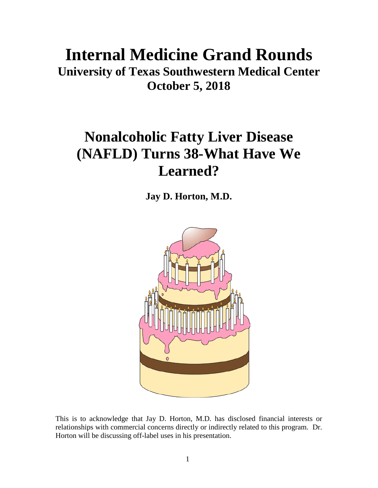# **Internal Medicine Grand Rounds**

**University of Texas Southwestern Medical Center October 5, 2018**

## **Nonalcoholic Fatty Liver Disease (NAFLD) Turns 38-What Have We Learned?**

**Jay D. Horton, M.D.**



This is to acknowledge that Jay D. Horton, M.D. has disclosed financial interests or relationships with commercial concerns directly or indirectly related to this program. Dr. Horton will be discussing off-label uses in his presentation.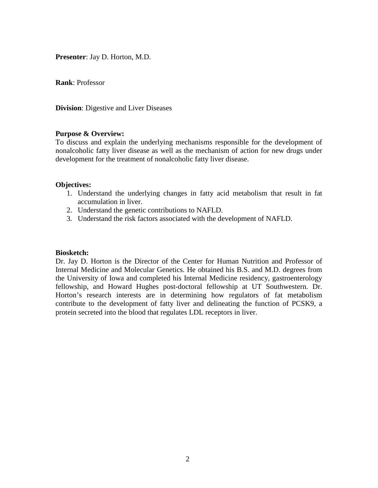**Presenter**: Jay D. Horton, M.D.

**Rank**: Professor

**Division**: Digestive and Liver Diseases

#### **Purpose & Overview:**

To discuss and explain the underlying mechanisms responsible for the development of nonalcoholic fatty liver disease as well as the mechanism of action for new drugs under development for the treatment of nonalcoholic fatty liver disease.

#### **Objectives:**

- 1. Understand the underlying changes in fatty acid metabolism that result in fat accumulation in liver.
- 2. Understand the genetic contributions to NAFLD.
- 3. Understand the risk factors associated with the development of NAFLD.

#### **Biosketch:**

Dr. Jay D. Horton is the Director of the Center for Human Nutrition and Professor of Internal Medicine and Molecular Genetics. He obtained his B.S. and M.D. degrees from the University of Iowa and completed his Internal Medicine residency, gastroenterology fellowship, and Howard Hughes post-doctoral fellowship at UT Southwestern. Dr. Horton's research interests are in determining how regulators of fat metabolism contribute to the development of fatty liver and delineating the function of PCSK9, a protein secreted into the blood that regulates LDL receptors in liver.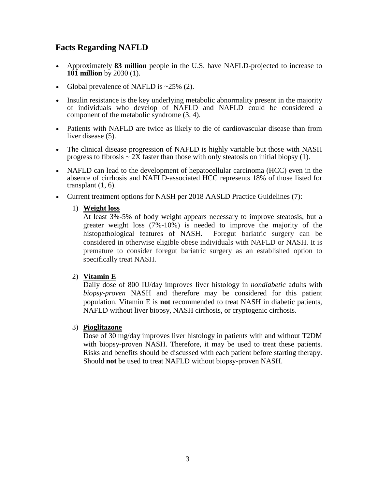## **Facts Regarding NAFLD**

- Approximately **83 million** people in the U.S. have NAFLD-projected to increase to **101 million** by 2030 (1).
- Global prevalence of NAFLD is  $\sim$  25% (2).
- Insulin resistance is the key underlying metabolic abnormality present in the majority of individuals who develop of NAFLD and NAFLD could be considered a component of the metabolic syndrome (3, 4).
- Patients with NAFLD are twice as likely to die of cardiovascular disease than from liver disease  $(5)$ .
- The clinical disease progression of NAFLD is highly variable but those with NASH progress to fibrosis  $\sim 2X$  faster than those with only steatosis on initial biopsy (1).
- NAFLD can lead to the development of hepatocellular carcinoma (HCC) even in the absence of cirrhosis and NAFLD-associated HCC represents 18% of those listed for transplant  $(1, 6)$ .
- Current treatment options for NASH per 2018 AASLD Practice Guidelines (7):

#### 1) **Weight loss**

At least 3%-5% of body weight appears necessary to improve steatosis, but a greater weight loss (7%-10%) is needed to improve the majority of the histopathological features of NASH. Foregut bariatric surgery can be considered in otherwise eligible obese individuals with NAFLD or NASH. It is premature to consider foregut bariatric surgery as an established option to specifically treat NASH.

#### 2) **Vitamin E**

Daily dose of 800 IU/day improves liver histology in *nondiabetic* adults with *biopsy-proven* NASH and therefore may be considered for this patient population. Vitamin E is **not** recommended to treat NASH in diabetic patients, NAFLD without liver biopsy, NASH cirrhosis, or cryptogenic cirrhosis.

#### 3) **Pioglitazone**

Dose of 30 mg/day improves liver histology in patients with and without T2DM with biopsy-proven NASH. Therefore, it may be used to treat these patients. Risks and benefits should be discussed with each patient before starting therapy. Should **not** be used to treat NAFLD without biopsy-proven NASH.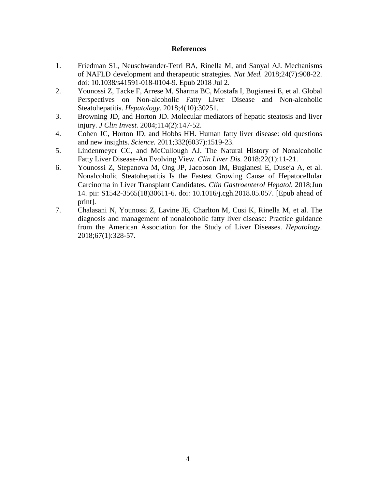#### **References**

- 1. Friedman SL, Neuschwander-Tetri BA, Rinella M, and Sanyal AJ. Mechanisms of NAFLD development and therapeutic strategies. *Nat Med.* 2018;24(7):908-22. doi: 10.1038/s41591-018-0104-9. Epub 2018 Jul 2.
- 2. Younossi Z, Tacke F, Arrese M, Sharma BC, Mostafa I, Bugianesi E, et al. Global Perspectives on Non-alcoholic Fatty Liver Disease and Non-alcoholic Steatohepatitis. *Hepatology.* 2018;4(10):30251.
- 3. Browning JD, and Horton JD. Molecular mediators of hepatic steatosis and liver injury. *J Clin Invest.* 2004;114(2):147-52.
- 4. Cohen JC, Horton JD, and Hobbs HH. Human fatty liver disease: old questions and new insights. *Science.* 2011;332(6037):1519-23.
- 5. Lindenmeyer CC, and McCullough AJ. The Natural History of Nonalcoholic Fatty Liver Disease-An Evolving View. *Clin Liver Dis.* 2018;22(1):11-21.
- 6. Younossi Z, Stepanova M, Ong JP, Jacobson IM, Bugianesi E, Duseja A, et al. Nonalcoholic Steatohepatitis Is the Fastest Growing Cause of Hepatocellular Carcinoma in Liver Transplant Candidates. *Clin Gastroenterol Hepatol.* 2018;Jun 14. pii: S1542-3565(18)30611-6. doi: 10.1016/j.cgh.2018.05.057. [Epub ahead of print].
- 7. Chalasani N, Younossi Z, Lavine JE, Charlton M, Cusi K, Rinella M, et al. The diagnosis and management of nonalcoholic fatty liver disease: Practice guidance from the American Association for the Study of Liver Diseases. *Hepatology.* 2018;67(1):328-57.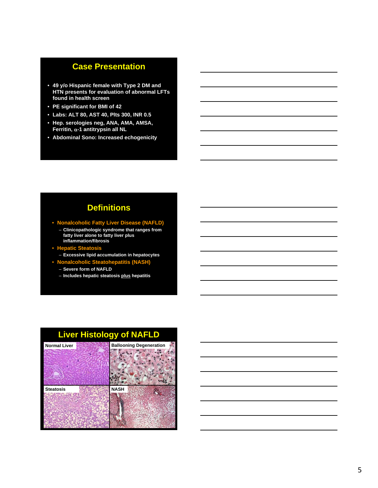#### **Case Presentation**

- **49 y/o Hispanic female with Type 2 DM and HTN presents for evaluation of abnormal LFTs found in health screen**
- **PE significant for BMI of 42**
- **Labs: ALT 80, AST 40, Plts 300, INR 0.5**
- **Hep. serologies neg, ANA, AMA, AMSA, Ferritin, -1 antitrypsin all NL**
- **Abdominal Sono: Increased echogenicity**

## **Definitions**

• **Nonalcoholic Fatty Liver Disease (NAFLD)**

- **Clinicopathologic syndrome that ranges from fatty liver alone to fatty liver plus inflammation/fibrosis**
- **Hepatic Steatosis** – **Excessive lipid accumulation in hepatocytes**
- **Nonalcoholic Steatohepatitis (NASH)**
	- **Severe form of NAFLD**
	- **Includes hepatic steatosis plus hepatitis**

## **Liver Histology of NAFLD**

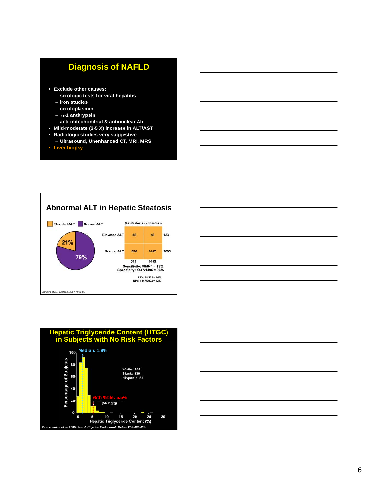## **Diagnosis of NAFLD**

- **Exclude other causes:**
	- **serologic tests for viral hepatitis**
	- **iron studies**
	- **ceruloplasmin**
	- $\alpha$ -1 antitrypsin
	- **anti-mitochondrial & antinuclear Ab**
- **Mild-moderate (2-5 X) increase in ALT/AST**
- **Radiologic studies very suggestive**
- **Ultrasound, Unenhanced CT, MRI, MRS**
- **Liver biopsy**







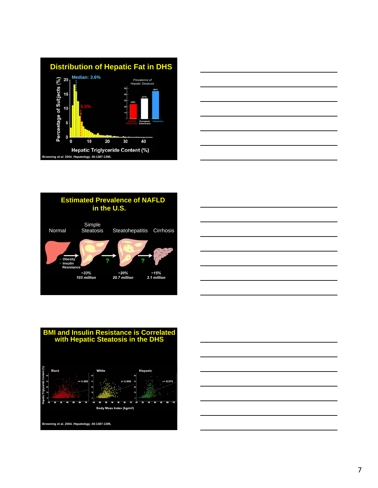









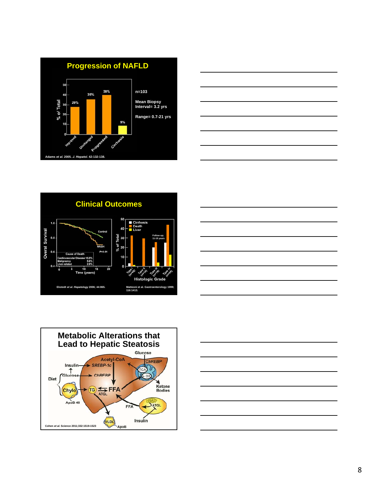









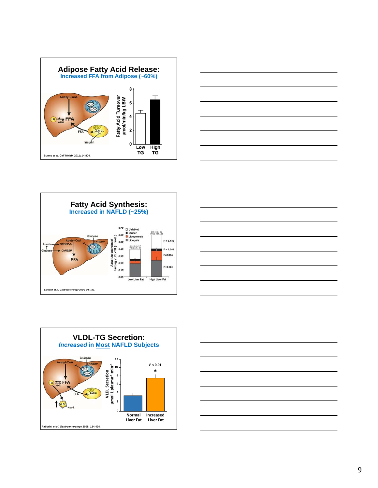









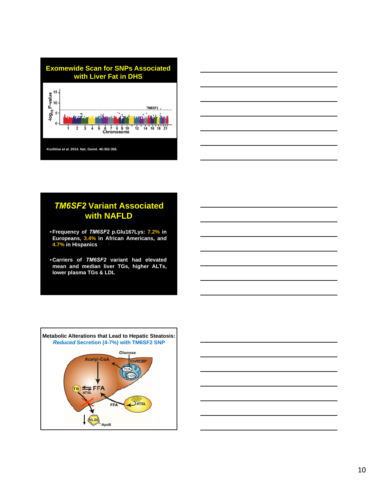



## *TM6SF2* **Variant Associated with NAFLD**

- •**Frequency of** *TM6SF2* **p.Glu167Lys: 7.2% in Europeans, 3.4% in African Americans, and 4.7% in Hispanics**
- •**Carriers of** *TM6SF2* **variant had elevated mean and median liver TGs, higher ALTs, lower plasma TGs & LDL**



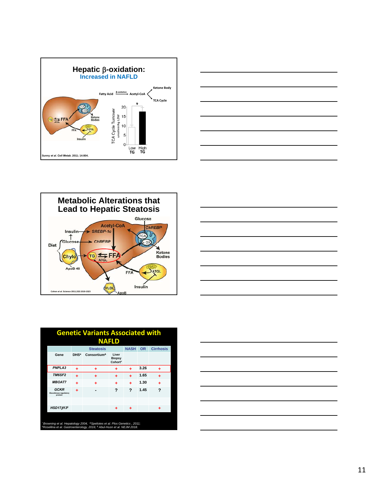









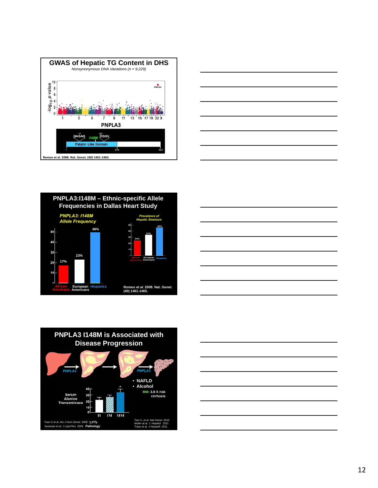









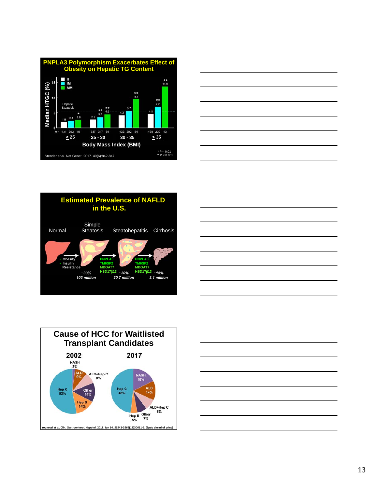









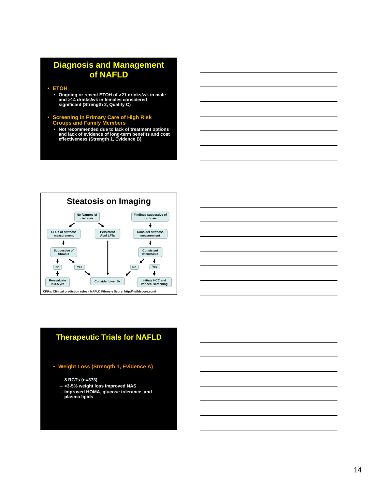## **Diagnosis and Management of NAFLD**

- **ETOH**
	- **Ongoing or recent ETOH of >21 drinks/wk in male and >14 drinks/wk in females considered significant (Strength 2, Quality C)**
- **Screening in Primary Care of High Risk Groups and Family Members**
- **Not recommended due to lack of treatment options and lack of evidence of long-term benefits and cost effectiveness (Strength 1, Evidence B)**





#### **Therapeutic Trials for NAFLD**

- **Weight Loss (Strength 1, Evidence A)**
	- **8 RCTs (n=373)**
	- **>3-5% weight loss improved NAS**
	- **Improved HOMA, glucose tolerance, and plasma lipids**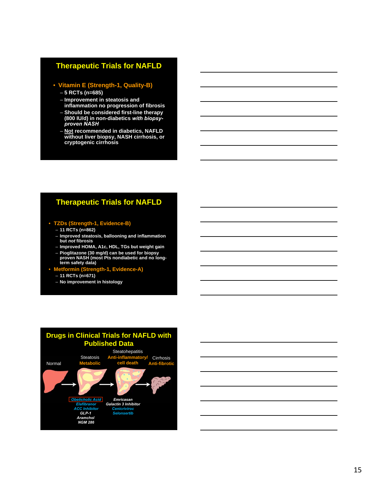#### **Therapeutic Trials for NAFLD**

#### • **Vitamin E (Strength-1, Quality-B)**

- **5 RCTs (n=685)**
- **Improvement in steatosis and**
- **inflammation no progression of fibrosis** – **Should be considered first-line therapy**
- **(800 IU/d) in non-diabetics** *with biopsyproven NASH*
- **Not recommended in diabetics, NAFLD without liver biopsy, NASH cirrhosis, or cryptogenic cirrhosis**

#### **Therapeutic Trials for NAFLD**

- **TZDs (Strength-1, Evidence-B)**
	- **11 RCTs (n=862)**
	- **Improved steatosis, ballooning and inflammation but** *not* **fibrosis**
	- **Improved HOMA, A1c, HDL, TGs but weight gain**
	- **Pioglitazone (30 mg/d) can be used for biopsy proven NASH (most Pts nondiabetic and no long-term safety data)**
- **Metformin (Strength-1, Evidence-A)**
	- **11 RCTs (n=671)**
	- **No improvement in histology**



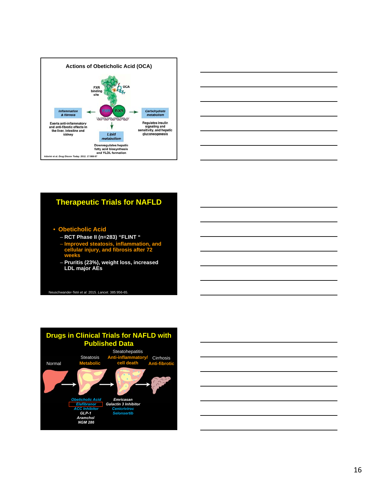



## **Therapeutic Trials for NAFLD**

- **Obeticholic Acid**
	- **RCT Phase II (n=283) "FLINT "**
	- **Improved steatosis, inflammation, and cellular injury, and fibrosis after 72 weeks**
	- **Pruritis (23%), weight loss, increased LDL major AEs**

Neuschwander-Tetri *et al*. 2015. *Lancet*. 385:956-65.



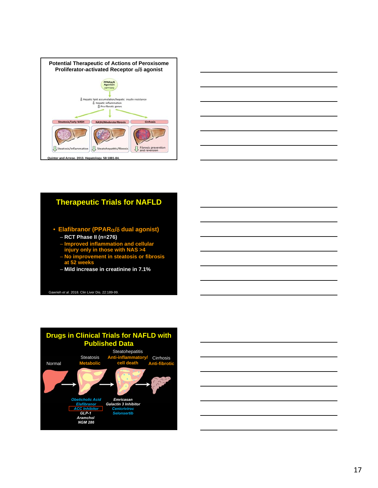



#### **Therapeutic Trials for NAFLD**

- **Elafibranor (PPAR/ dual agonist)** – **RCT Phase II (n=276)**
	- **Improved inflammation and cellular injury only in those with NAS >4**
	- **No improvement in steatosis or fibrosis at 52 weeks**
	- **Mild increase in creatinine in 7.1%**

Gawrieh *et al*. 2018. Clin Liver Dis. 22:189-99.



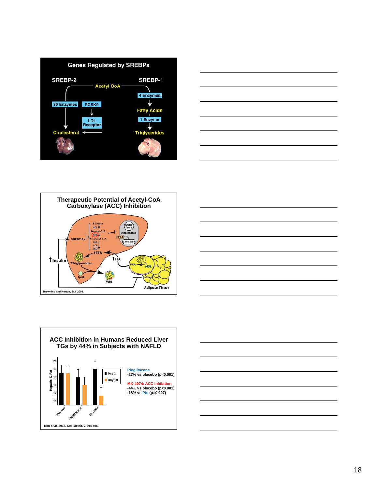